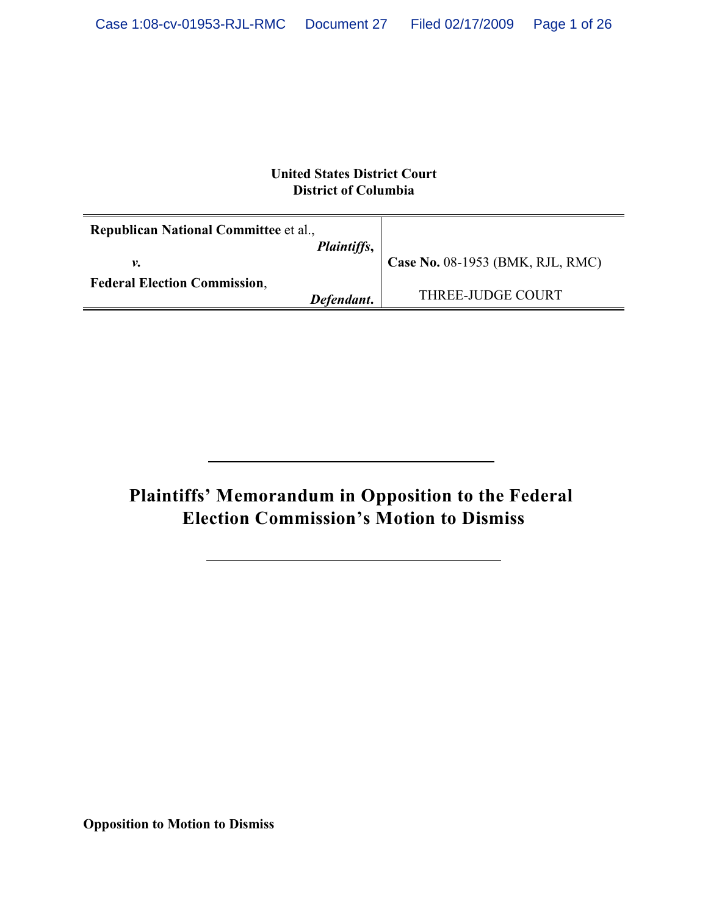## **United States District Court District of Columbia**

| <b>Republican National Committee et al.,</b> |             |                                  |
|----------------------------------------------|-------------|----------------------------------|
|                                              | Plaintiffs, |                                  |
| ν.                                           |             | Case No. 08-1953 (BMK, RJL, RMC) |
| <b>Federal Election Commission,</b>          |             |                                  |
|                                              | Defendant.  | THREE-JUDGE COURT                |

# **Plaintiffs' Memorandum in Opposition to the Federal Election Commission's Motion to Dismiss**

**Opposition to Motion to Dismiss**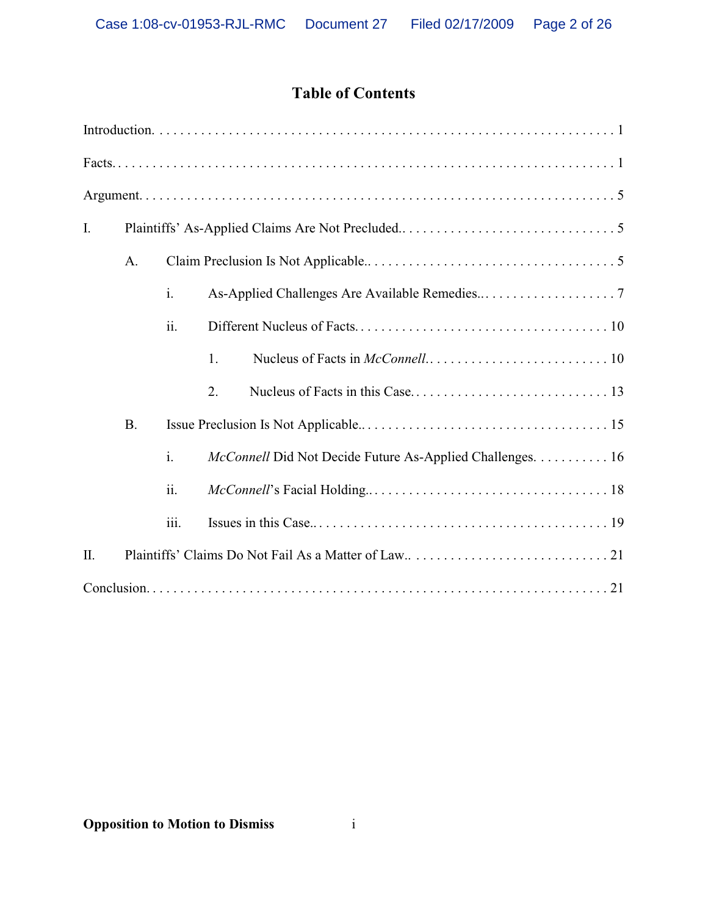## **Table of Contents**

| Ι. |             |      |                                                           |
|----|-------------|------|-----------------------------------------------------------|
|    | $A_{\cdot}$ |      |                                                           |
|    |             | i.   |                                                           |
|    |             | ii.  |                                                           |
|    |             |      | 1.                                                        |
|    |             |      | 2.                                                        |
|    | <b>B.</b>   |      |                                                           |
|    |             | i.   | McConnell Did Not Decide Future As-Applied Challenges. 16 |
|    |             | ii.  |                                                           |
|    |             | iii. |                                                           |
| Π. |             |      |                                                           |
|    |             |      |                                                           |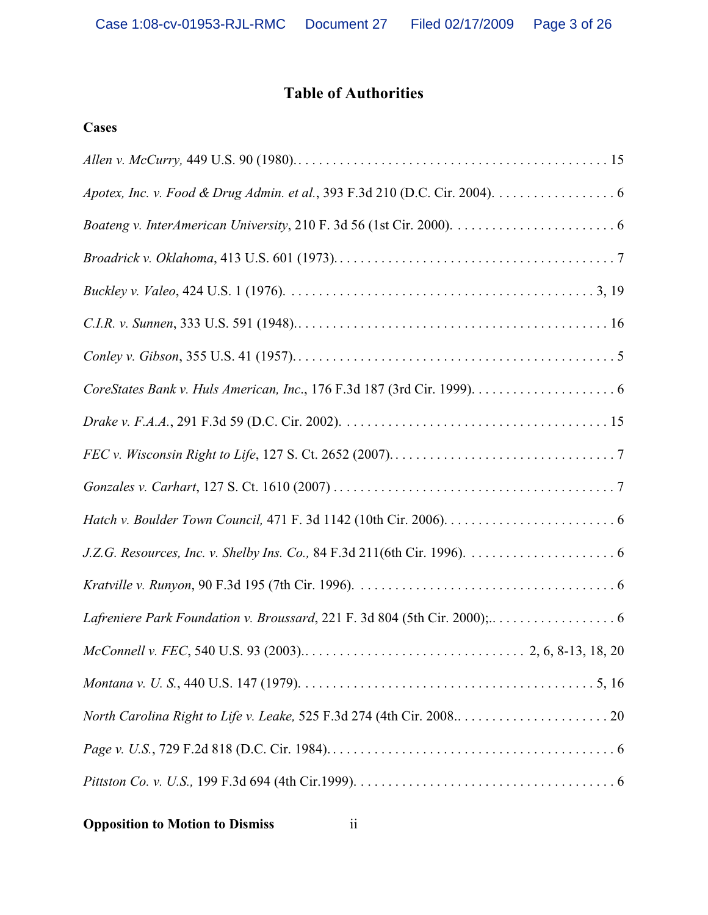## **Table of Authorities**

## **Cases**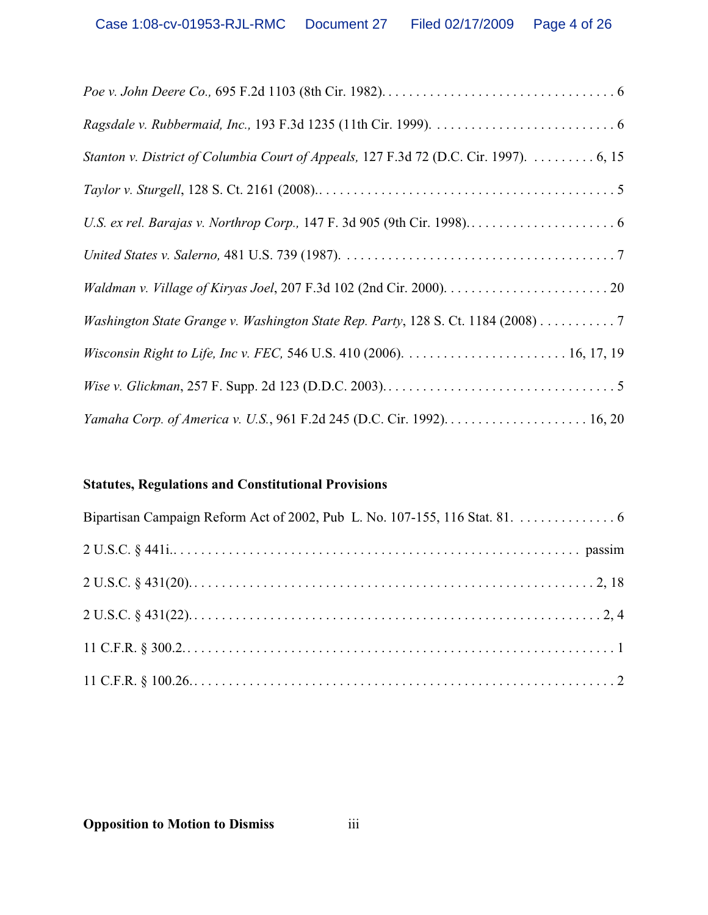| Stanton v. District of Columbia Court of Appeals, 127 F.3d 72 (D.C. Cir. 1997). 6, 15 |
|---------------------------------------------------------------------------------------|
|                                                                                       |
|                                                                                       |
|                                                                                       |
|                                                                                       |
| Washington State Grange v. Washington State Rep. Party, 128 S. Ct. 1184 (2008) 7      |
|                                                                                       |
|                                                                                       |
|                                                                                       |

## **Statutes, Regulations and Constitutional Provisions**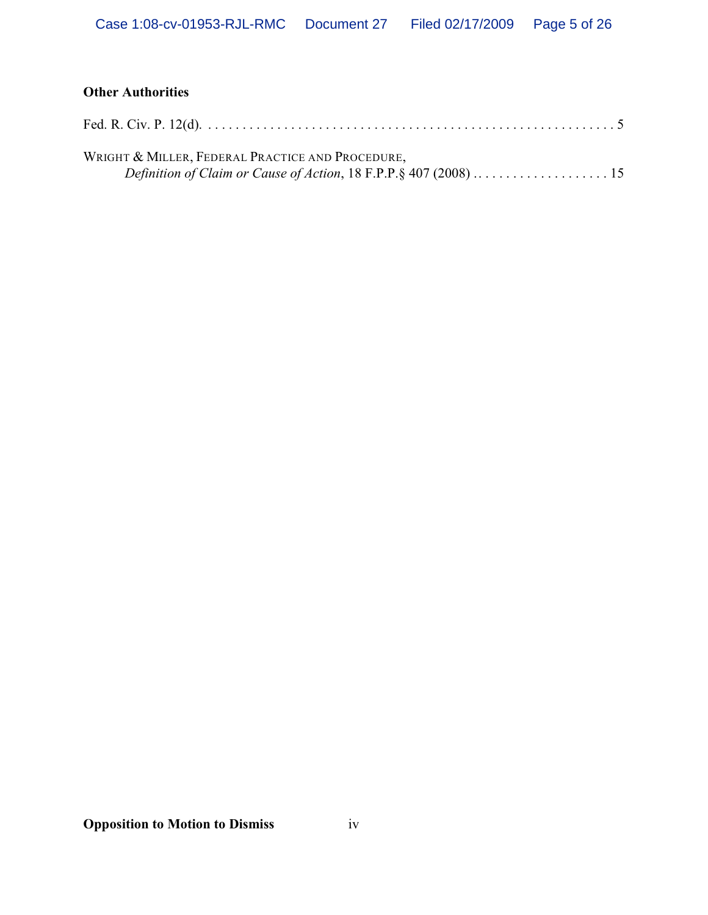## **Other Authorities**

| WRIGHT & MILLER, FEDERAL PRACTICE AND PROCEDURE, |  |
|--------------------------------------------------|--|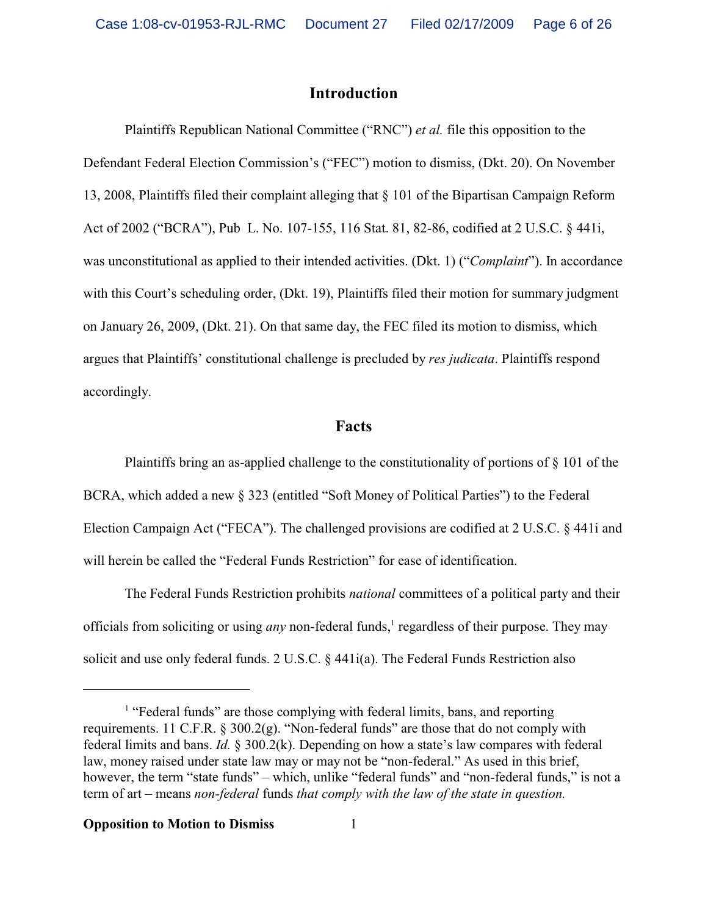## **Introduction**

Plaintiffs Republican National Committee ("RNC") *et al.* file this opposition to the Defendant Federal Election Commission's ("FEC") motion to dismiss, (Dkt. 20). On November 13, 2008, Plaintiffs filed their complaint alleging that § 101 of the Bipartisan Campaign Reform Act of 2002 ("BCRA"), Pub L. No. 107-155, 116 Stat. 81, 82-86, codified at 2 U.S.C. § 441i, was unconstitutional as applied to their intended activities. (Dkt. 1) ("*Complaint*"). In accordance with this Court's scheduling order, (Dkt. 19), Plaintiffs filed their motion for summary judgment on January 26, 2009, (Dkt. 21). On that same day, the FEC filed its motion to dismiss, which argues that Plaintiffs' constitutional challenge is precluded by *res judicata*. Plaintiffs respond accordingly.

## **Facts**

Plaintiffs bring an as-applied challenge to the constitutionality of portions of § 101 of the BCRA, which added a new § 323 (entitled "Soft Money of Political Parties") to the Federal Election Campaign Act ("FECA"). The challenged provisions are codified at 2 U.S.C. § 441i and will herein be called the "Federal Funds Restriction" for ease of identification.

The Federal Funds Restriction prohibits *national* committees of a political party and their officials from soliciting or using *any* non-federal funds,<sup>1</sup> regardless of their purpose. They may solicit and use only federal funds. 2 U.S.C. § 441i(a). The Federal Funds Restriction also

<sup>&</sup>lt;sup>1</sup> "Federal funds" are those complying with federal limits, bans, and reporting requirements. 11 C.F.R. § 300.2(g). "Non-federal funds" are those that do not comply with federal limits and bans. *Id.* § 300.2(k). Depending on how a state's law compares with federal law, money raised under state law may or may not be "non-federal." As used in this brief, however, the term "state funds" – which, unlike "federal funds" and "non-federal funds," is not a term of art – means *non-federal* funds *that comply with the law of the state in question.*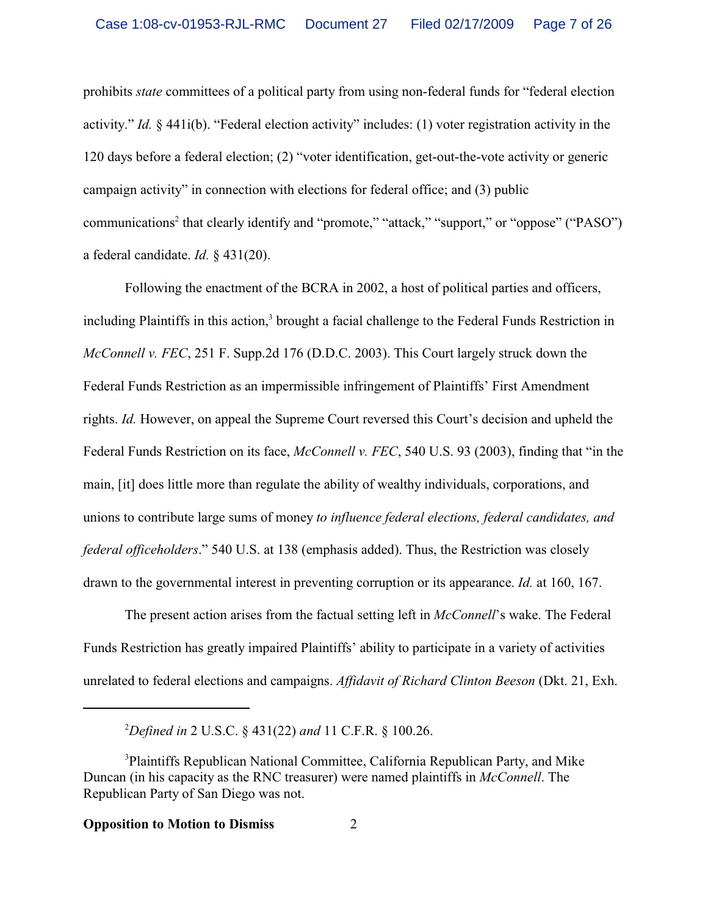prohibits *state* committees of a political party from using non-federal funds for "federal election activity." *Id.* § 441i(b). "Federal election activity" includes: (1) voter registration activity in the 120 days before a federal election; (2) "voter identification, get-out-the-vote activity or generic campaign activity" in connection with elections for federal office; and (3) public communications<sup>2</sup> that clearly identify and "promote," "attack," "support," or "oppose" ("PASO") a federal candidate. *Id.* § 431(20).

Following the enactment of the BCRA in 2002, a host of political parties and officers, including Plaintiffs in this action,<sup>3</sup> brought a facial challenge to the Federal Funds Restriction in *McConnell v. FEC*, 251 F. Supp.2d 176 (D.D.C. 2003). This Court largely struck down the Federal Funds Restriction as an impermissible infringement of Plaintiffs' First Amendment rights. *Id.* However, on appeal the Supreme Court reversed this Court's decision and upheld the Federal Funds Restriction on its face, *McConnell v. FEC*, 540 U.S. 93 (2003), finding that "in the main, [it] does little more than regulate the ability of wealthy individuals, corporations, and unions to contribute large sums of money *to influence federal elections, federal candidates, and federal officeholders*." 540 U.S. at 138 (emphasis added). Thus, the Restriction was closely drawn to the governmental interest in preventing corruption or its appearance. *Id.* at 160, 167.

The present action arises from the factual setting left in *McConnell*'s wake. The Federal Funds Restriction has greatly impaired Plaintiffs' ability to participate in a variety of activities unrelated to federal elections and campaigns. *Affidavit of Richard Clinton Beeson* (Dkt. 21, Exh.

<sup>2</sup>*Defined in* 2 U.S.C. § 431(22) *and* 11 C.F.R. § 100.26.

<sup>3</sup>Plaintiffs Republican National Committee, California Republican Party, and Mike Duncan (in his capacity as the RNC treasurer) were named plaintiffs in *McConnell*. The Republican Party of San Diego was not.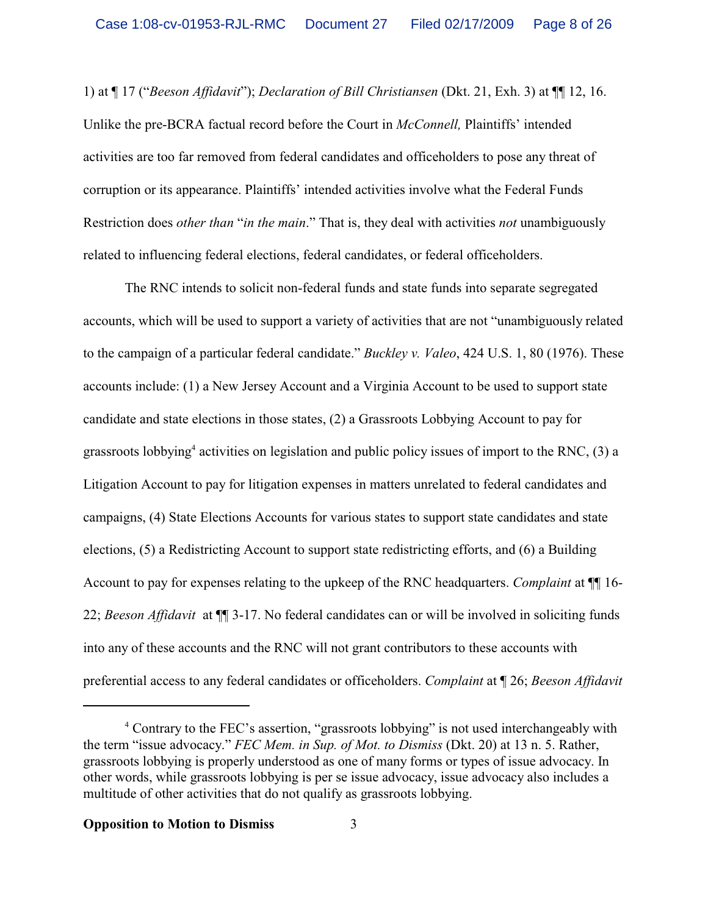1) at ¶ 17 ("*Beeson Affidavit*"); *Declaration of Bill Christiansen* (Dkt. 21, Exh. 3) at ¶¶ 12, 16. Unlike the pre-BCRA factual record before the Court in *McConnell,* Plaintiffs' intended activities are too far removed from federal candidates and officeholders to pose any threat of corruption or its appearance. Plaintiffs' intended activities involve what the Federal Funds Restriction does *other than* "*in the main*." That is, they deal with activities *not* unambiguously related to influencing federal elections, federal candidates, or federal officeholders.

The RNC intends to solicit non-federal funds and state funds into separate segregated accounts, which will be used to support a variety of activities that are not "unambiguously related to the campaign of a particular federal candidate." *Buckley v. Valeo*, 424 U.S. 1, 80 (1976). These accounts include: (1) a New Jersey Account and a Virginia Account to be used to support state candidate and state elections in those states, (2) a Grassroots Lobbying Account to pay for grassroots lobbying<sup>4</sup> activities on legislation and public policy issues of import to the RNC, (3) a Litigation Account to pay for litigation expenses in matters unrelated to federal candidates and campaigns, (4) State Elections Accounts for various states to support state candidates and state elections, (5) a Redistricting Account to support state redistricting efforts, and (6) a Building Account to pay for expenses relating to the upkeep of the RNC headquarters. *Complaint* at ¶¶ 16- 22; *Beeson Affidavit* at ¶¶ 3-17. No federal candidates can or will be involved in soliciting funds into any of these accounts and the RNC will not grant contributors to these accounts with preferential access to any federal candidates or officeholders. *Complaint* at ¶ 26; *Beeson Affidavit*

<sup>&</sup>lt;sup>4</sup> Contrary to the FEC's assertion, "grassroots lobbying" is not used interchangeably with the term "issue advocacy." *FEC Mem. in Sup. of Mot. to Dismiss* (Dkt. 20) at 13 n. 5. Rather, grassroots lobbying is properly understood as one of many forms or types of issue advocacy. In other words, while grassroots lobbying is per se issue advocacy, issue advocacy also includes a multitude of other activities that do not qualify as grassroots lobbying.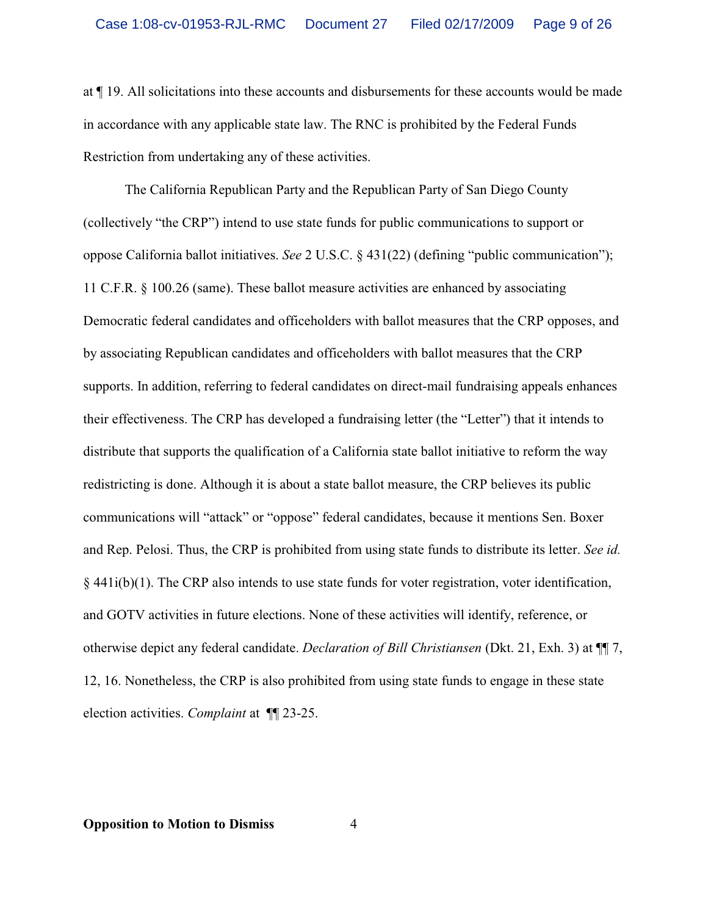at ¶ 19. All solicitations into these accounts and disbursements for these accounts would be made in accordance with any applicable state law. The RNC is prohibited by the Federal Funds Restriction from undertaking any of these activities.

The California Republican Party and the Republican Party of San Diego County (collectively "the CRP") intend to use state funds for public communications to support or oppose California ballot initiatives. *See* 2 U.S.C. § 431(22) (defining "public communication"); 11 C.F.R. § 100.26 (same). These ballot measure activities are enhanced by associating Democratic federal candidates and officeholders with ballot measures that the CRP opposes, and by associating Republican candidates and officeholders with ballot measures that the CRP supports. In addition, referring to federal candidates on direct-mail fundraising appeals enhances their effectiveness. The CRP has developed a fundraising letter (the "Letter") that it intends to distribute that supports the qualification of a California state ballot initiative to reform the way redistricting is done. Although it is about a state ballot measure, the CRP believes its public communications will "attack" or "oppose" federal candidates, because it mentions Sen. Boxer and Rep. Pelosi. Thus, the CRP is prohibited from using state funds to distribute its letter. *See id.*  $§$  441i(b)(1). The CRP also intends to use state funds for voter registration, voter identification, and GOTV activities in future elections. None of these activities will identify, reference, or otherwise depict any federal candidate. *Declaration of Bill Christiansen* (Dkt. 21, Exh. 3) at ¶¶ 7, 12, 16. Nonetheless, the CRP is also prohibited from using state funds to engage in these state election activities. *Complaint* at ¶¶ 23-25.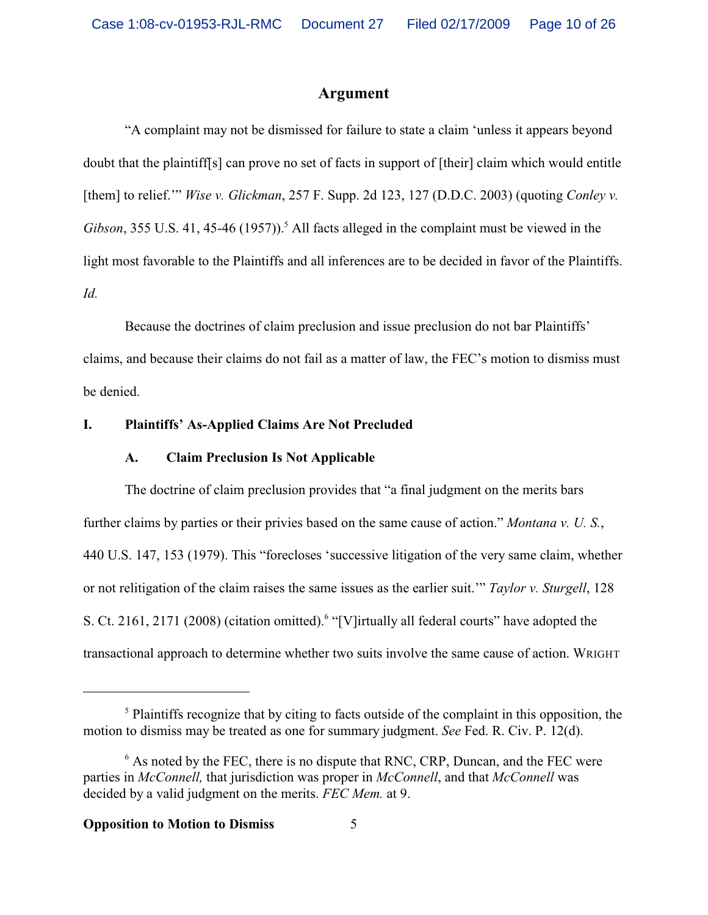## **Argument**

"A complaint may not be dismissed for failure to state a claim 'unless it appears beyond doubt that the plaintiff[s] can prove no set of facts in support of [their] claim which would entitle [them] to relief.'" *Wise v. Glickman*, 257 F. Supp. 2d 123, 127 (D.D.C. 2003) (quoting *Conley v.* Gibson, 355 U.S. 41, 45-46 (1957)).<sup>5</sup> All facts alleged in the complaint must be viewed in the light most favorable to the Plaintiffs and all inferences are to be decided in favor of the Plaintiffs. *Id.*

Because the doctrines of claim preclusion and issue preclusion do not bar Plaintiffs' claims, and because their claims do not fail as a matter of law, the FEC's motion to dismiss must be denied.

#### **I. Plaintiffs' As-Applied Claims Are Not Precluded**

#### **A. Claim Preclusion Is Not Applicable**

The doctrine of claim preclusion provides that "a final judgment on the merits bars further claims by parties or their privies based on the same cause of action." *Montana v. U. S.*, 440 U.S. 147, 153 (1979). This "forecloses 'successive litigation of the very same claim, whether or not relitigation of the claim raises the same issues as the earlier suit.'" *Taylor v. Sturgell*, 128 S. Ct. 2161, 2171 (2008) (citation omitted).<sup>6</sup> "[V]irtually all federal courts" have adopted the transactional approach to determine whether two suits involve the same cause of action. WRIGHT

<sup>&</sup>lt;sup>5</sup> Plaintiffs recognize that by citing to facts outside of the complaint in this opposition, the motion to dismiss may be treated as one for summary judgment. *See* Fed. R. Civ. P. 12(d).

<sup>&</sup>lt;sup>6</sup> As noted by the FEC, there is no dispute that RNC, CRP, Duncan, and the FEC were parties in *McConnell,* that jurisdiction was proper in *McConnell*, and that *McConnell* was decided by a valid judgment on the merits. *FEC Mem.* at 9.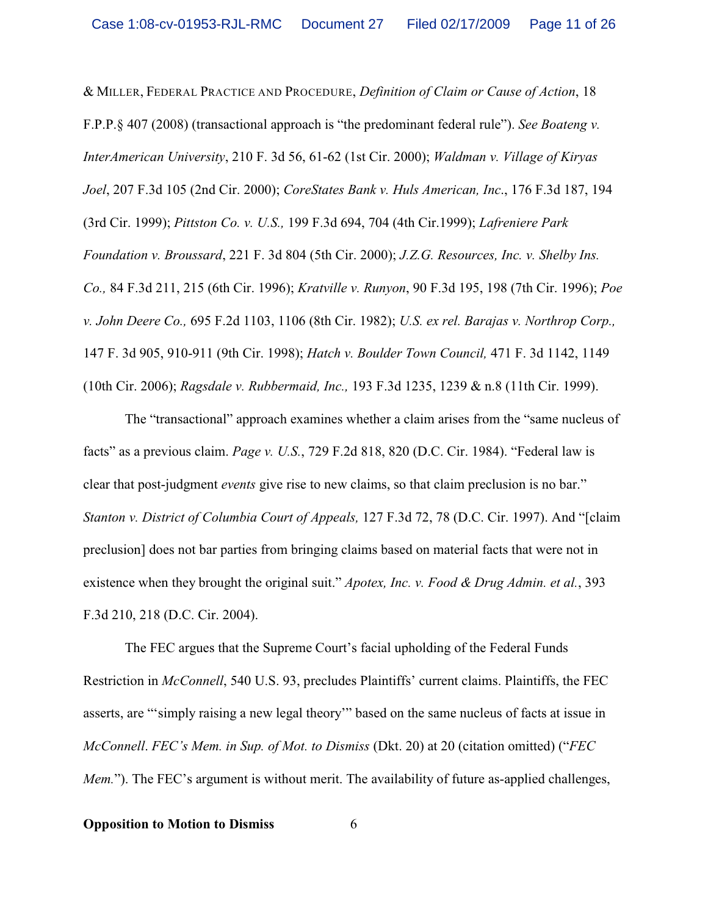& MILLER, FEDERAL PRACTICE AND PROCEDURE, *Definition of Claim or Cause of Action*, 18 F.P.P.§ 407 (2008) (transactional approach is "the predominant federal rule"). *See Boateng v. InterAmerican University*, 210 F. 3d 56, 61-62 (1st Cir. 2000); *Waldman v. Village of Kiryas Joel*, 207 F.3d 105 (2nd Cir. 2000); *CoreStates Bank v. Huls American, Inc*., 176 F.3d 187, 194 (3rd Cir. 1999); *Pittston Co. v. U.S.,* 199 F.3d 694, 704 (4th Cir.1999); *Lafreniere Park Foundation v. Broussard*, 221 F. 3d 804 (5th Cir. 2000); *J.Z.G. Resources, Inc. v. Shelby Ins. Co.,* 84 F.3d 211, 215 (6th Cir. 1996); *Kratville v. Runyon*, 90 F.3d 195, 198 (7th Cir. 1996); *Poe v. John Deere Co.,* 695 F.2d 1103, 1106 (8th Cir. 1982); *U.S. ex rel. Barajas v. Northrop Corp.,* 147 F. 3d 905, 910-911 (9th Cir. 1998); *Hatch v. Boulder Town Council,* 471 F. 3d 1142, 1149 (10th Cir. 2006); *Ragsdale v. Rubbermaid, Inc.,* 193 F.3d 1235, 1239 & n.8 (11th Cir. 1999).

The "transactional" approach examines whether a claim arises from the "same nucleus of facts" as a previous claim. *Page v. U.S.*, 729 F.2d 818, 820 (D.C. Cir. 1984). "Federal law is clear that post-judgment *events* give rise to new claims, so that claim preclusion is no bar." *Stanton v. District of Columbia Court of Appeals,* 127 F.3d 72, 78 (D.C. Cir. 1997). And "[claim preclusion] does not bar parties from bringing claims based on material facts that were not in existence when they brought the original suit." *Apotex, Inc. v. Food & Drug Admin. et al.*, 393 F.3d 210, 218 (D.C. Cir. 2004).

The FEC argues that the Supreme Court's facial upholding of the Federal Funds Restriction in *McConnell*, 540 U.S. 93, precludes Plaintiffs' current claims. Plaintiffs, the FEC asserts, are "'simply raising a new legal theory'" based on the same nucleus of facts at issue in *McConnell*. *FEC's Mem. in Sup. of Mot. to Dismiss* (Dkt. 20) at 20 (citation omitted) ("*FEC Mem.*"). The FEC's argument is without merit. The availability of future as-applied challenges,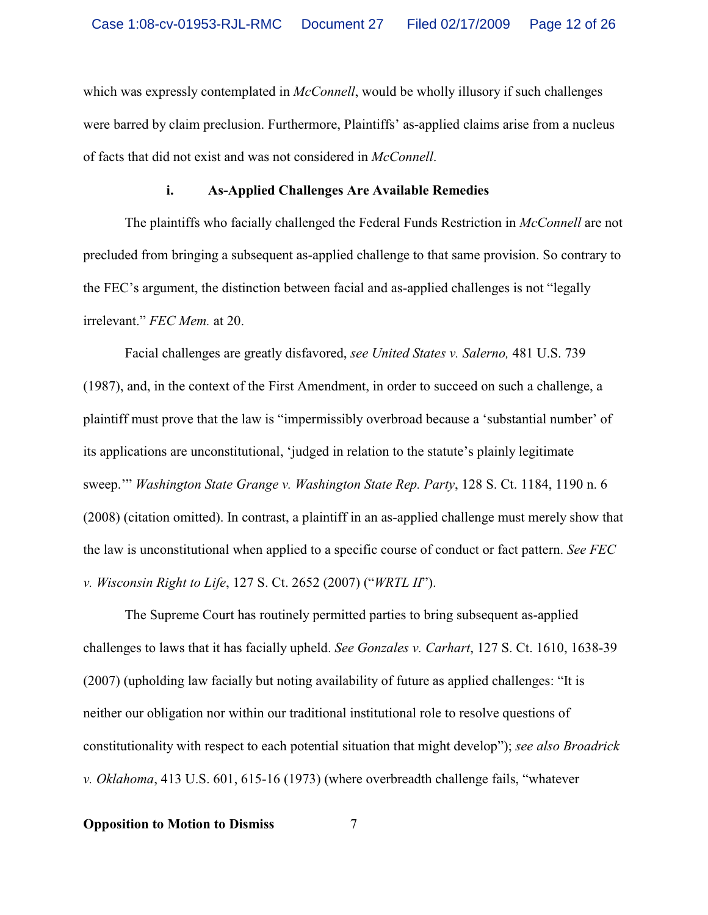which was expressly contemplated in *McConnell*, would be wholly illusory if such challenges were barred by claim preclusion. Furthermore, Plaintiffs' as-applied claims arise from a nucleus of facts that did not exist and was not considered in *McConnell*.

#### **i. As-Applied Challenges Are Available Remedies**

The plaintiffs who facially challenged the Federal Funds Restriction in *McConnell* are not precluded from bringing a subsequent as-applied challenge to that same provision. So contrary to the FEC's argument, the distinction between facial and as-applied challenges is not "legally irrelevant." *FEC Mem.* at 20.

Facial challenges are greatly disfavored, *see United States v. Salerno,* 481 U.S. 739 (1987), and, in the context of the First Amendment, in order to succeed on such a challenge, a plaintiff must prove that the law is "impermissibly overbroad because a 'substantial number' of its applications are unconstitutional, 'judged in relation to the statute's plainly legitimate sweep.'" *Washington State Grange v. Washington State Rep. Party*, 128 S. Ct. 1184, 1190 n. 6 (2008) (citation omitted). In contrast, a plaintiff in an as-applied challenge must merely show that the law is unconstitutional when applied to a specific course of conduct or fact pattern. *See FEC v. Wisconsin Right to Life*, 127 S. Ct. 2652 (2007) ("*WRTL II*").

The Supreme Court has routinely permitted parties to bring subsequent as-applied challenges to laws that it has facially upheld. *See Gonzales v. Carhart*, 127 S. Ct. 1610, 1638-39 (2007) (upholding law facially but noting availability of future as applied challenges: "It is neither our obligation nor within our traditional institutional role to resolve questions of constitutionality with respect to each potential situation that might develop"); *see also Broadrick v. Oklahoma*, 413 U.S. 601, 615-16 (1973) (where overbreadth challenge fails, "whatever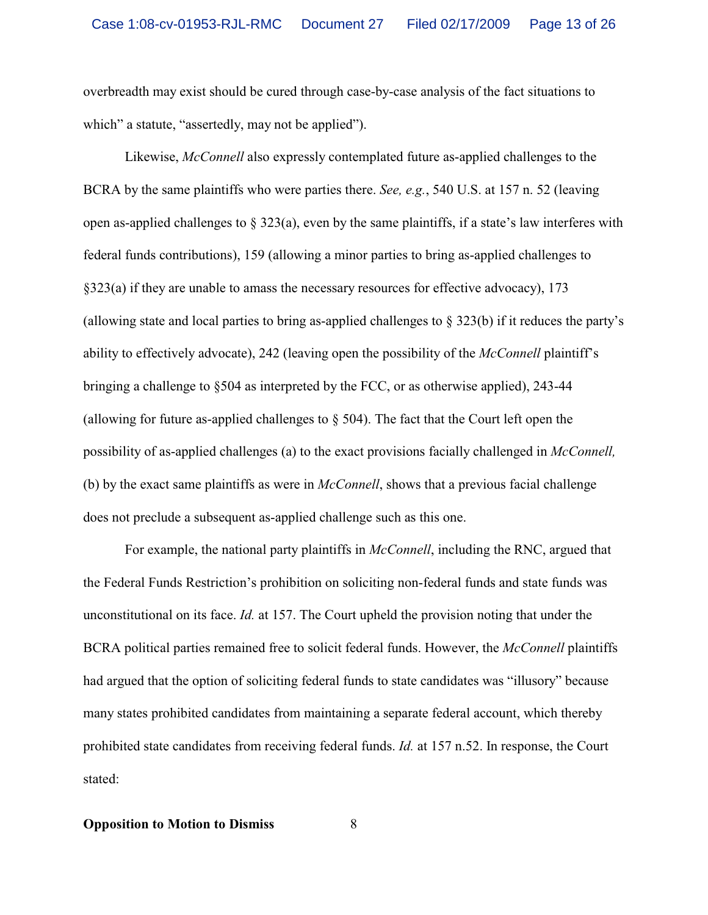overbreadth may exist should be cured through case-by-case analysis of the fact situations to which" a statute, "assertedly, may not be applied").

Likewise, *McConnell* also expressly contemplated future as-applied challenges to the BCRA by the same plaintiffs who were parties there. *See, e.g.*, 540 U.S. at 157 n. 52 (leaving open as-applied challenges to  $\S 323(a)$ , even by the same plaintiffs, if a state's law interferes with federal funds contributions), 159 (allowing a minor parties to bring as-applied challenges to §323(a) if they are unable to amass the necessary resources for effective advocacy), 173 (allowing state and local parties to bring as-applied challenges to § 323(b) if it reduces the party's ability to effectively advocate), 242 (leaving open the possibility of the *McConnell* plaintiff's bringing a challenge to §504 as interpreted by the FCC, or as otherwise applied), 243-44 (allowing for future as-applied challenges to  $\S$  504). The fact that the Court left open the possibility of as-applied challenges (a) to the exact provisions facially challenged in *McConnell,*  (b) by the exact same plaintiffs as were in *McConnell*, shows that a previous facial challenge does not preclude a subsequent as-applied challenge such as this one.

For example, the national party plaintiffs in *McConnell*, including the RNC, argued that the Federal Funds Restriction's prohibition on soliciting non-federal funds and state funds was unconstitutional on its face. *Id.* at 157. The Court upheld the provision noting that under the BCRA political parties remained free to solicit federal funds. However, the *McConnell* plaintiffs had argued that the option of soliciting federal funds to state candidates was "illusory" because many states prohibited candidates from maintaining a separate federal account, which thereby prohibited state candidates from receiving federal funds. *Id.* at 157 n.52. In response, the Court stated: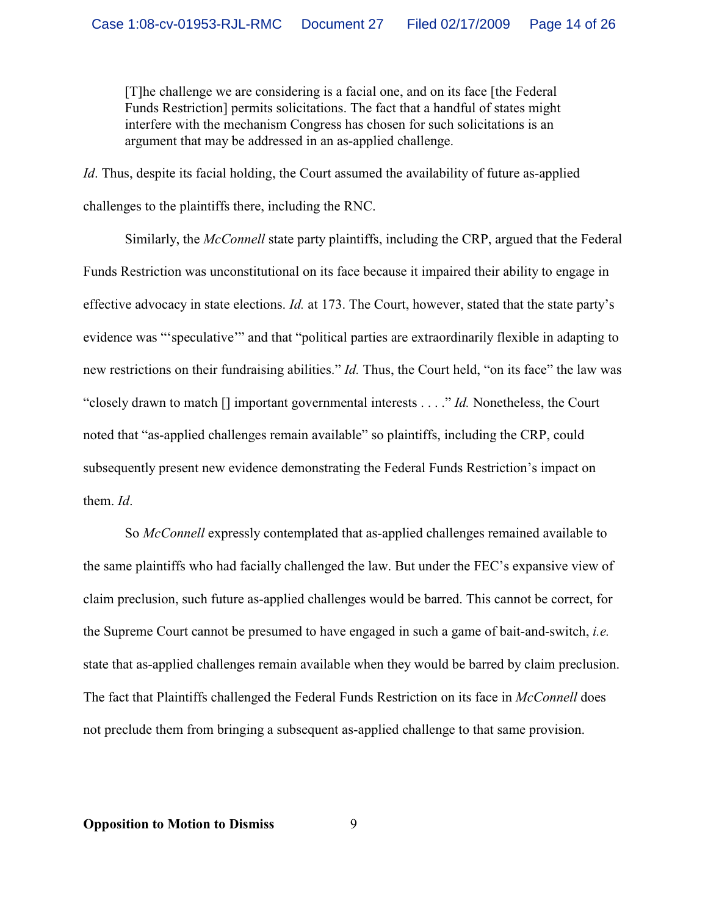[T]he challenge we are considering is a facial one, and on its face [the Federal Funds Restriction] permits solicitations. The fact that a handful of states might interfere with the mechanism Congress has chosen for such solicitations is an argument that may be addressed in an as-applied challenge.

*Id*. Thus, despite its facial holding, the Court assumed the availability of future as-applied challenges to the plaintiffs there, including the RNC.

Similarly, the *McConnell* state party plaintiffs, including the CRP, argued that the Federal Funds Restriction was unconstitutional on its face because it impaired their ability to engage in effective advocacy in state elections. *Id.* at 173. The Court, however, stated that the state party's evidence was "'speculative'" and that "political parties are extraordinarily flexible in adapting to new restrictions on their fundraising abilities." *Id.* Thus, the Court held, "on its face" the law was "closely drawn to match [] important governmental interests . . . ." *Id.* Nonetheless, the Court noted that "as-applied challenges remain available" so plaintiffs, including the CRP, could subsequently present new evidence demonstrating the Federal Funds Restriction's impact on them. *Id*.

So *McConnell* expressly contemplated that as-applied challenges remained available to the same plaintiffs who had facially challenged the law. But under the FEC's expansive view of claim preclusion, such future as-applied challenges would be barred. This cannot be correct, for the Supreme Court cannot be presumed to have engaged in such a game of bait-and-switch, *i.e.* state that as-applied challenges remain available when they would be barred by claim preclusion. The fact that Plaintiffs challenged the Federal Funds Restriction on its face in *McConnell* does not preclude them from bringing a subsequent as-applied challenge to that same provision.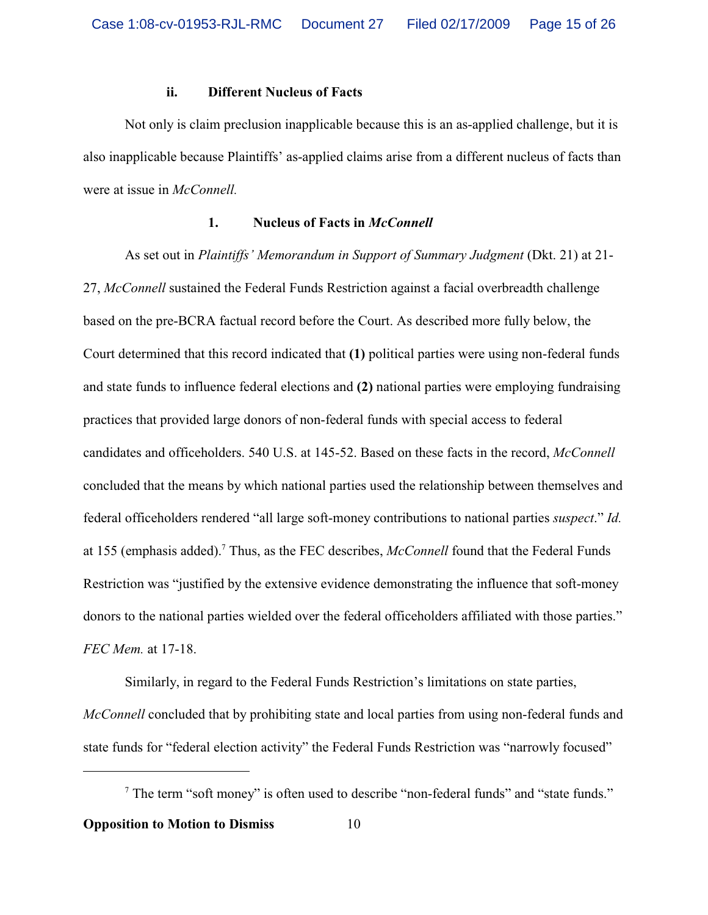#### **ii. Different Nucleus of Facts**

Not only is claim preclusion inapplicable because this is an as-applied challenge, but it is also inapplicable because Plaintiffs' as-applied claims arise from a different nucleus of facts than were at issue in *McConnell.*

#### **1. Nucleus of Facts in** *McConnell*

As set out in *Plaintiffs' Memorandum in Support of Summary Judgment* (Dkt. 21) at 21- 27, *McConnell* sustained the Federal Funds Restriction against a facial overbreadth challenge based on the pre-BCRA factual record before the Court. As described more fully below, the Court determined that this record indicated that **(1)** political parties were using non-federal funds and state funds to influence federal elections and **(2)** national parties were employing fundraising practices that provided large donors of non-federal funds with special access to federal candidates and officeholders. 540 U.S. at 145-52. Based on these facts in the record, *McConnell* concluded that the means by which national parties used the relationship between themselves and federal officeholders rendered "all large soft-money contributions to national parties *suspect*." *Id.* at 155 (emphasis added). 7 Thus, as the FEC describes, *McConnell* found that the Federal Funds Restriction was "justified by the extensive evidence demonstrating the influence that soft-money donors to the national parties wielded over the federal officeholders affiliated with those parties." *FEC Mem.* at 17-18.

Similarly, in regard to the Federal Funds Restriction's limitations on state parties, *McConnell* concluded that by prohibiting state and local parties from using non-federal funds and state funds for "federal election activity" the Federal Funds Restriction was "narrowly focused"

 $7$  The term "soft money" is often used to describe "non-federal funds" and "state funds." **Opposition to Motion to Dismiss** 10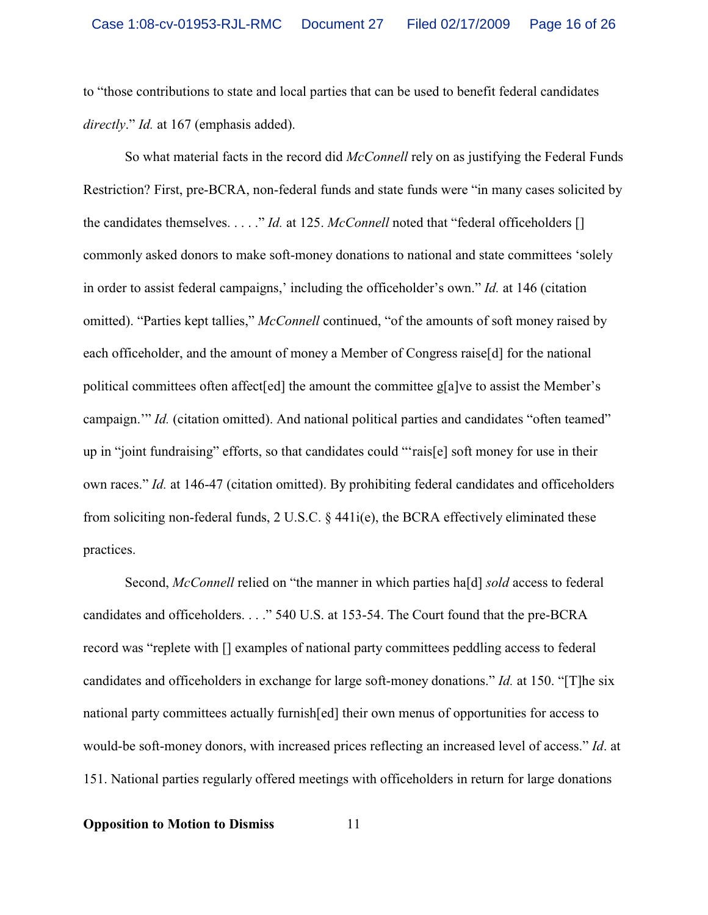to "those contributions to state and local parties that can be used to benefit federal candidates *directly*." *Id.* at 167 (emphasis added).

So what material facts in the record did *McConnell* rely on as justifying the Federal Funds Restriction? First, pre-BCRA, non-federal funds and state funds were "in many cases solicited by the candidates themselves. . . . ." *Id.* at 125. *McConnell* noted that "federal officeholders [] commonly asked donors to make soft-money donations to national and state committees 'solely in order to assist federal campaigns,' including the officeholder's own." *Id.* at 146 (citation omitted). "Parties kept tallies," *McConnell* continued, "of the amounts of soft money raised by each officeholder, and the amount of money a Member of Congress raise[d] for the national political committees often affect[ed] the amount the committee g[a]ve to assist the Member's campaign." *Id.* (citation omitted). And national political parties and candidates "often teamed" up in "joint fundraising" efforts, so that candidates could "'rais[e] soft money for use in their own races." *Id.* at 146-47 (citation omitted). By prohibiting federal candidates and officeholders from soliciting non-federal funds, 2 U.S.C. § 441i(e), the BCRA effectively eliminated these practices.

Second, *McConnell* relied on "the manner in which parties ha[d] *sold* access to federal candidates and officeholders. . . ." 540 U.S. at 153-54. The Court found that the pre-BCRA record was "replete with [] examples of national party committees peddling access to federal candidates and officeholders in exchange for large soft-money donations." *Id.* at 150. "[T]he six national party committees actually furnish[ed] their own menus of opportunities for access to would-be soft-money donors, with increased prices reflecting an increased level of access." *Id*. at 151. National parties regularly offered meetings with officeholders in return for large donations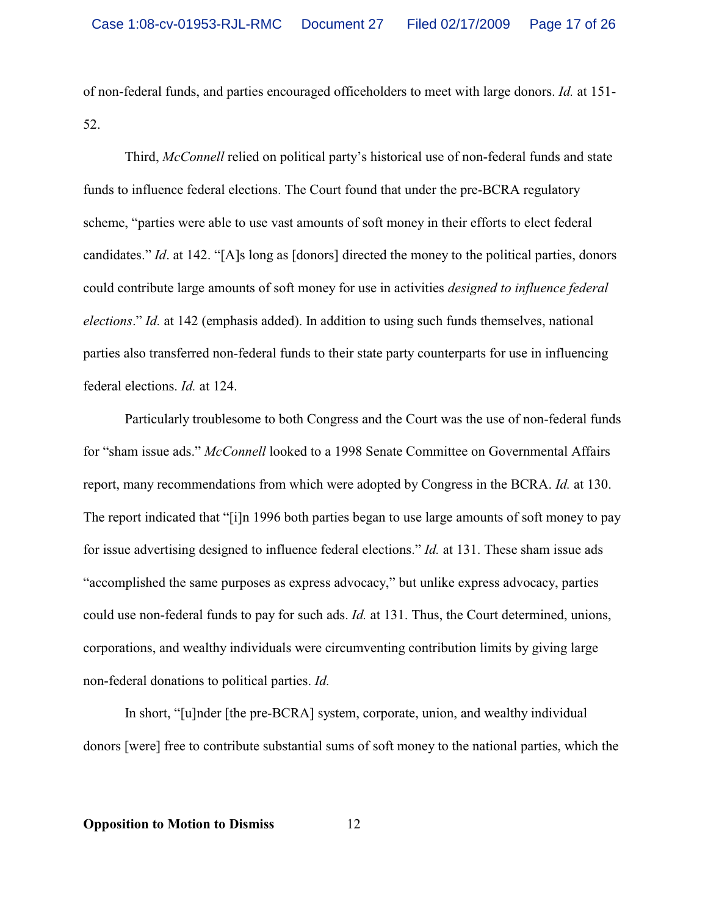of non-federal funds, and parties encouraged officeholders to meet with large donors. *Id.* at 151- 52.

Third, *McConnell* relied on political party's historical use of non-federal funds and state funds to influence federal elections. The Court found that under the pre-BCRA regulatory scheme, "parties were able to use vast amounts of soft money in their efforts to elect federal candidates." *Id*. at 142. "[A]s long as [donors] directed the money to the political parties, donors could contribute large amounts of soft money for use in activities *designed to influence federal elections*." *Id.* at 142 (emphasis added). In addition to using such funds themselves, national parties also transferred non-federal funds to their state party counterparts for use in influencing federal elections. *Id.* at 124.

Particularly troublesome to both Congress and the Court was the use of non-federal funds for "sham issue ads." *McConnell* looked to a 1998 Senate Committee on Governmental Affairs report, many recommendations from which were adopted by Congress in the BCRA. *Id.* at 130. The report indicated that "[i]n 1996 both parties began to use large amounts of soft money to pay for issue advertising designed to influence federal elections." *Id.* at 131. These sham issue ads "accomplished the same purposes as express advocacy," but unlike express advocacy, parties could use non-federal funds to pay for such ads. *Id.* at 131. Thus, the Court determined, unions, corporations, and wealthy individuals were circumventing contribution limits by giving large non-federal donations to political parties. *Id.* 

In short, "[u]nder [the pre-BCRA] system, corporate, union, and wealthy individual donors [were] free to contribute substantial sums of soft money to the national parties, which the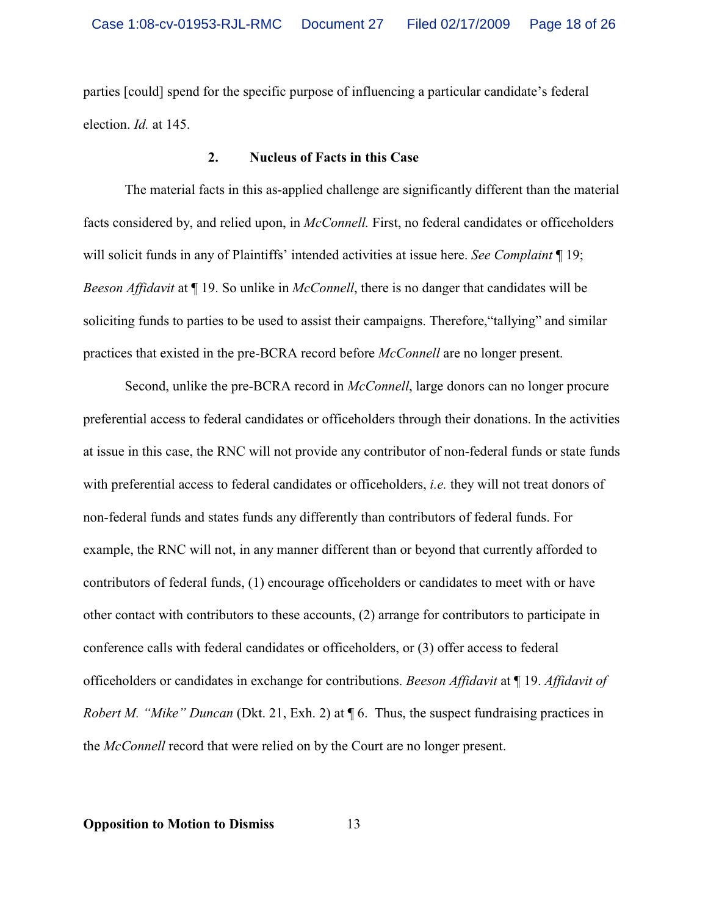parties [could] spend for the specific purpose of influencing a particular candidate's federal election. *Id.* at 145.

#### **2. Nucleus of Facts in this Case**

The material facts in this as-applied challenge are significantly different than the material facts considered by, and relied upon, in *McConnell.* First, no federal candidates or officeholders will solicit funds in any of Plaintiffs' intended activities at issue here. *See Complaint* ¶ 19; *Beeson Affidavit* at ¶ 19. So unlike in *McConnell*, there is no danger that candidates will be soliciting funds to parties to be used to assist their campaigns. Therefore,"tallying" and similar practices that existed in the pre-BCRA record before *McConnell* are no longer present.

Second, unlike the pre-BCRA record in *McConnell*, large donors can no longer procure preferential access to federal candidates or officeholders through their donations. In the activities at issue in this case, the RNC will not provide any contributor of non-federal funds or state funds with preferential access to federal candidates or officeholders, *i.e.* they will not treat donors of non-federal funds and states funds any differently than contributors of federal funds. For example, the RNC will not, in any manner different than or beyond that currently afforded to contributors of federal funds, (1) encourage officeholders or candidates to meet with or have other contact with contributors to these accounts, (2) arrange for contributors to participate in conference calls with federal candidates or officeholders, or (3) offer access to federal officeholders or candidates in exchange for contributions. *Beeson Affidavit* at ¶ 19. *Affidavit of Robert M. "Mike" Duncan* (Dkt. 21, Exh. 2) at  $\P$  6. Thus, the suspect fundraising practices in the *McConnell* record that were relied on by the Court are no longer present.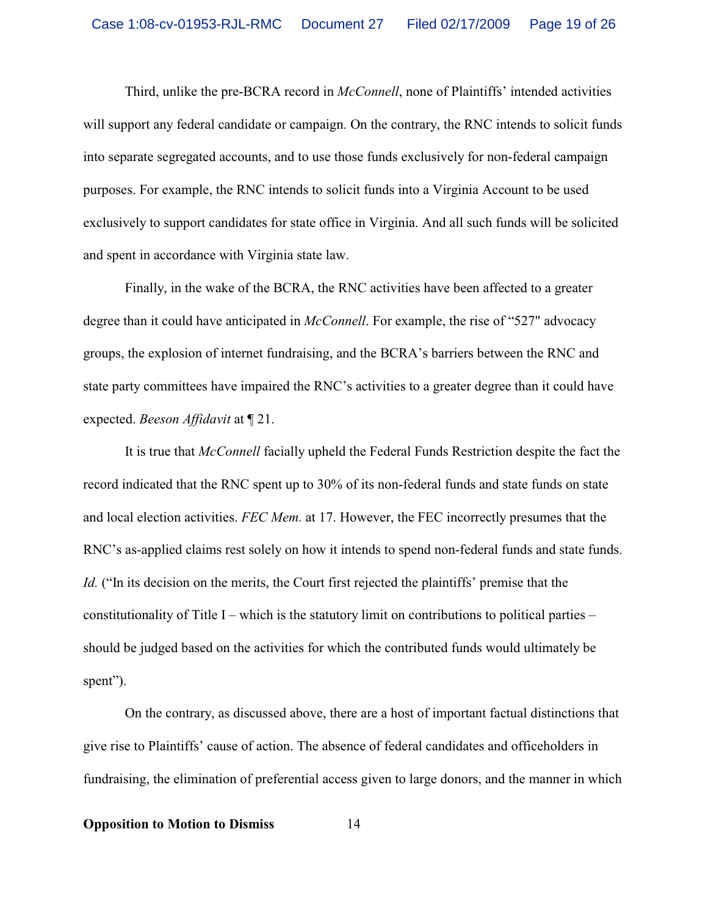Third, unlike the pre-BCRA record in *McConnell*, none of Plaintiffs' intended activities will support any federal candidate or campaign. On the contrary, the RNC intends to solicit funds into separate segregated accounts, and to use those funds exclusively for non-federal campaign purposes. For example, the RNC intends to solicit funds into a Virginia Account to be used exclusively to support candidates for state office in Virginia. And all such funds will be solicited and spent in accordance with Virginia state law.

Finally, in the wake of the BCRA, the RNC activities have been affected to a greater degree than it could have anticipated in *McConnell*. For example, the rise of "527" advocacy groups, the explosion of internet fundraising, and the BCRA's barriers between the RNC and state party committees have impaired the RNC's activities to a greater degree than it could have expected. *Beeson Affidavit* at ¶ 21.

It is true that *McConnell* facially upheld the Federal Funds Restriction despite the fact the record indicated that the RNC spent up to 30% of its non-federal funds and state funds on state and local election activities. *FEC Mem.* at 17. However, the FEC incorrectly presumes that the RNC's as-applied claims rest solely on how it intends to spend non-federal funds and state funds. *Id.* ("In its decision on the merits, the Court first rejected the plaintiffs' premise that the constitutionality of Title I – which is the statutory limit on contributions to political parties – should be judged based on the activities for which the contributed funds would ultimately be spent").

On the contrary, as discussed above, there are a host of important factual distinctions that give rise to Plaintiffs' cause of action. The absence of federal candidates and officeholders in fundraising, the elimination of preferential access given to large donors, and the manner in which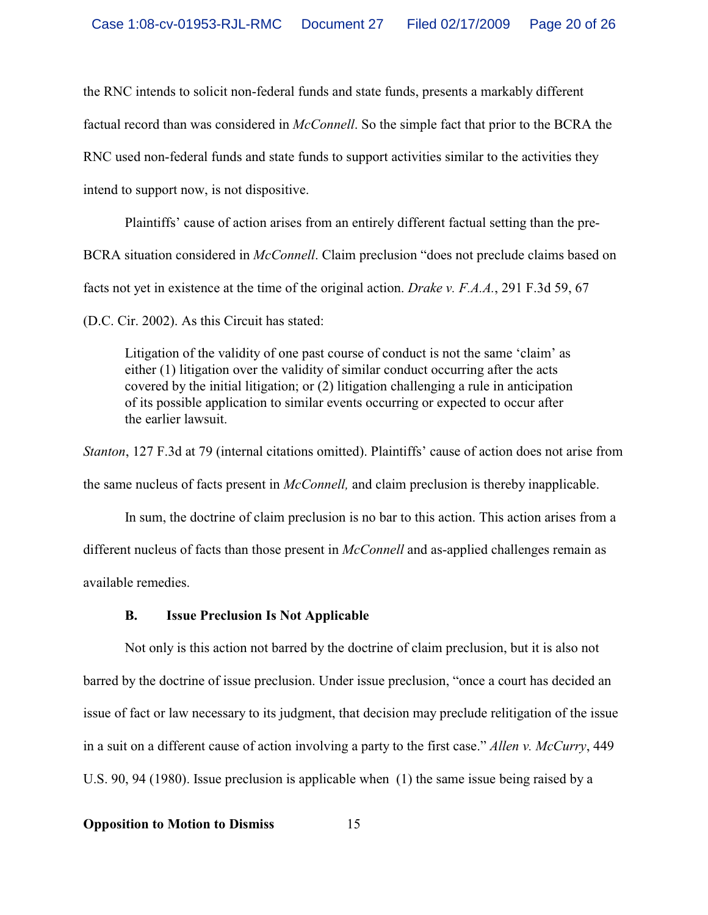the RNC intends to solicit non-federal funds and state funds, presents a markably different factual record than was considered in *McConnell*. So the simple fact that prior to the BCRA the RNC used non-federal funds and state funds to support activities similar to the activities they intend to support now, is not dispositive.

Plaintiffs' cause of action arises from an entirely different factual setting than the pre-BCRA situation considered in *McConnell*. Claim preclusion "does not preclude claims based on facts not yet in existence at the time of the original action. *Drake v. F.A.A.*, 291 F.3d 59, 67 (D.C. Cir. 2002). As this Circuit has stated:

Litigation of the validity of one past course of conduct is not the same 'claim' as either (1) litigation over the validity of similar conduct occurring after the acts covered by the initial litigation; or (2) litigation challenging a rule in anticipation of its possible application to similar events occurring or expected to occur after the earlier lawsuit.

*Stanton*, 127 F.3d at 79 (internal citations omitted). Plaintiffs' cause of action does not arise from the same nucleus of facts present in *McConnell,* and claim preclusion is thereby inapplicable.

In sum, the doctrine of claim preclusion is no bar to this action. This action arises from a different nucleus of facts than those present in *McConnell* and as-applied challenges remain as available remedies.

### **B. Issue Preclusion Is Not Applicable**

Not only is this action not barred by the doctrine of claim preclusion, but it is also not barred by the doctrine of issue preclusion. Under issue preclusion, "once a court has decided an issue of fact or law necessary to its judgment, that decision may preclude relitigation of the issue in a suit on a different cause of action involving a party to the first case." *Allen v. McCurry*, 449 U.S. 90, 94 (1980). Issue preclusion is applicable when (1) the same issue being raised by a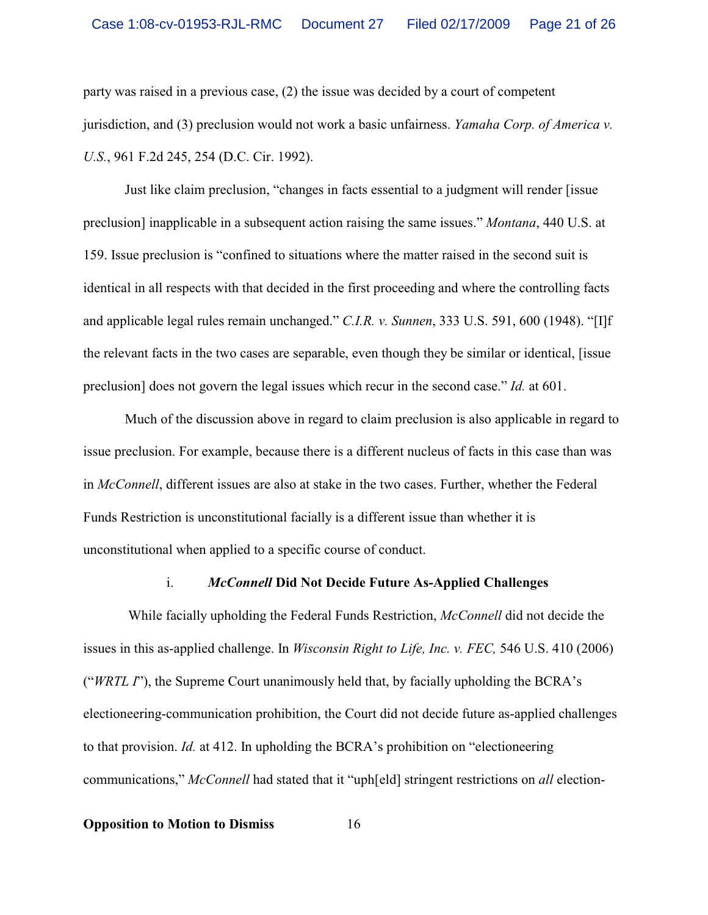party was raised in a previous case, (2) the issue was decided by a court of competent jurisdiction, and (3) preclusion would not work a basic unfairness. *Yamaha Corp. of America v. U.S.*, 961 F.2d 245, 254 (D.C. Cir. 1992).

Just like claim preclusion, "changes in facts essential to a judgment will render [issue preclusion] inapplicable in a subsequent action raising the same issues." *Montana*, 440 U.S. at 159. Issue preclusion is "confined to situations where the matter raised in the second suit is identical in all respects with that decided in the first proceeding and where the controlling facts and applicable legal rules remain unchanged." *C.I.R. v. Sunnen*, 333 U.S. 591, 600 (1948). "[I]f the relevant facts in the two cases are separable, even though they be similar or identical, [issue preclusion] does not govern the legal issues which recur in the second case." *Id.* at 601.

Much of the discussion above in regard to claim preclusion is also applicable in regard to issue preclusion. For example, because there is a different nucleus of facts in this case than was in *McConnell*, different issues are also at stake in the two cases. Further, whether the Federal Funds Restriction is unconstitutional facially is a different issue than whether it is unconstitutional when applied to a specific course of conduct.

#### i. *McConnell* **Did Not Decide Future As-Applied Challenges**

 While facially upholding the Federal Funds Restriction, *McConnell* did not decide the issues in this as-applied challenge. In *Wisconsin Right to Life, Inc. v. FEC,* 546 U.S. 410 (2006) ("*WRTL I*"), the Supreme Court unanimously held that, by facially upholding the BCRA's electioneering-communication prohibition, the Court did not decide future as-applied challenges to that provision. *Id.* at 412. In upholding the BCRA's prohibition on "electioneering communications," *McConnell* had stated that it "uph[eld] stringent restrictions on *all* election-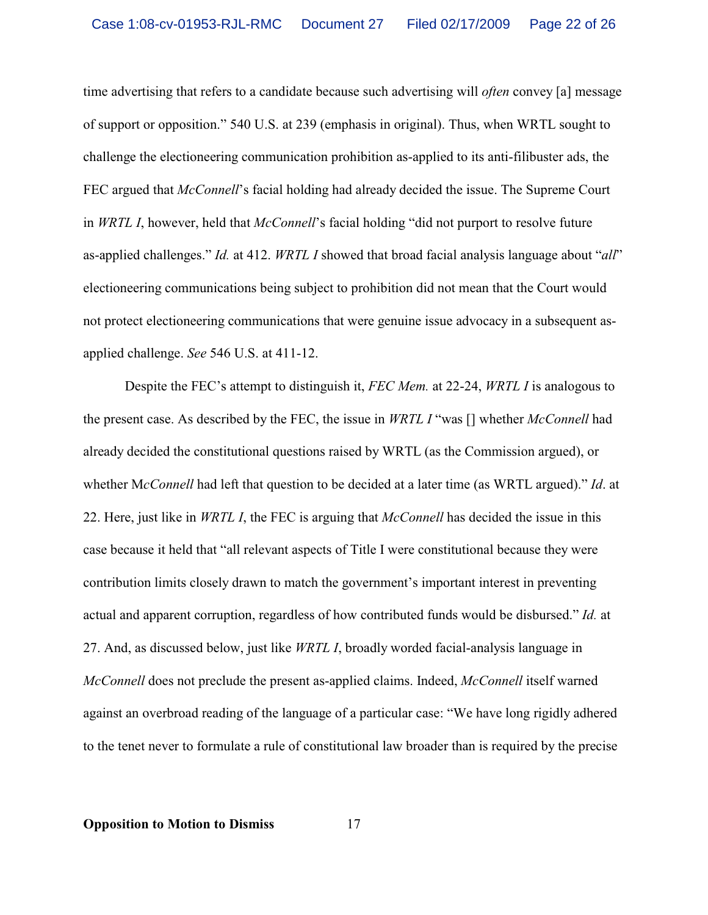time advertising that refers to a candidate because such advertising will *often* convey [a] message of support or opposition." 540 U.S. at 239 (emphasis in original). Thus, when WRTL sought to challenge the electioneering communication prohibition as-applied to its anti-filibuster ads, the FEC argued that *McConnell*'s facial holding had already decided the issue. The Supreme Court in *WRTL I*, however, held that *McConnell*'s facial holding "did not purport to resolve future as-applied challenges." *Id.* at 412. *WRTL I* showed that broad facial analysis language about "*all*" electioneering communications being subject to prohibition did not mean that the Court would not protect electioneering communications that were genuine issue advocacy in a subsequent asapplied challenge. *See* 546 U.S. at 411-12.

Despite the FEC's attempt to distinguish it, *FEC Mem.* at 22-24, *WRTL I* is analogous to the present case. As described by the FEC, the issue in *WRTL I* "was [] whether *McConnell* had already decided the constitutional questions raised by WRTL (as the Commission argued), or whether M*cConnell* had left that question to be decided at a later time (as WRTL argued)." *Id*. at 22. Here, just like in *WRTL I*, the FEC is arguing that *McConnell* has decided the issue in this case because it held that "all relevant aspects of Title I were constitutional because they were contribution limits closely drawn to match the government's important interest in preventing actual and apparent corruption, regardless of how contributed funds would be disbursed." *Id.* at 27. And, as discussed below, just like *WRTL I*, broadly worded facial-analysis language in *McConnell* does not preclude the present as-applied claims. Indeed, *McConnell* itself warned against an overbroad reading of the language of a particular case: "We have long rigidly adhered to the tenet never to formulate a rule of constitutional law broader than is required by the precise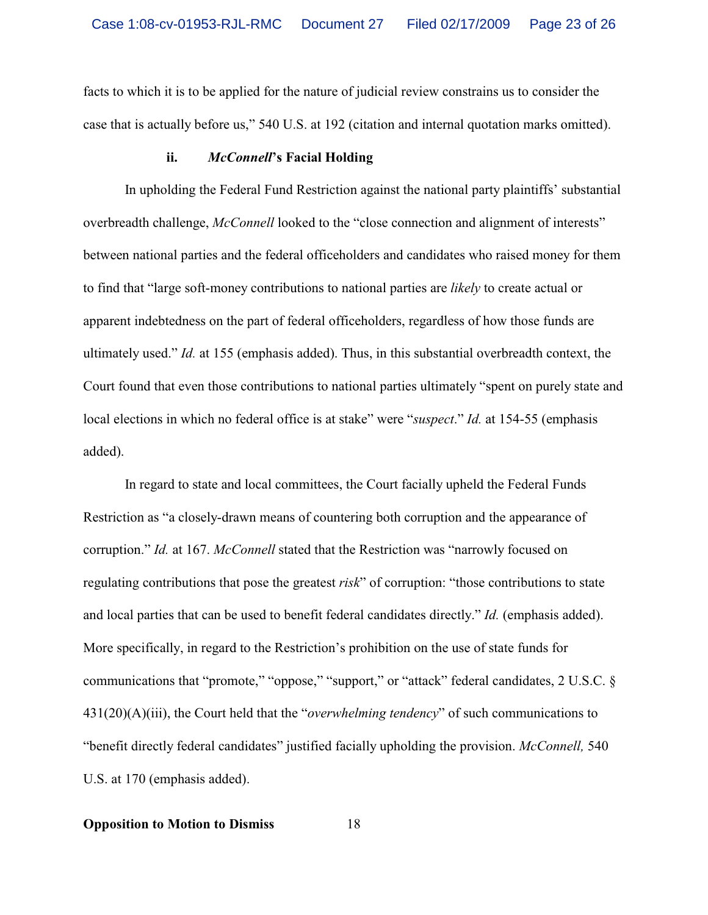facts to which it is to be applied for the nature of judicial review constrains us to consider the case that is actually before us," 540 U.S. at 192 (citation and internal quotation marks omitted).

#### **ii.** *McConnell***'s Facial Holding**

In upholding the Federal Fund Restriction against the national party plaintiffs' substantial overbreadth challenge, *McConnell* looked to the "close connection and alignment of interests" between national parties and the federal officeholders and candidates who raised money for them to find that "large soft-money contributions to national parties are *likely* to create actual or apparent indebtedness on the part of federal officeholders, regardless of how those funds are ultimately used." *Id.* at 155 (emphasis added). Thus, in this substantial overbreadth context, the Court found that even those contributions to national parties ultimately "spent on purely state and local elections in which no federal office is at stake" were "*suspect*." *Id.* at 154-55 (emphasis added).

In regard to state and local committees, the Court facially upheld the Federal Funds Restriction as "a closely-drawn means of countering both corruption and the appearance of corruption." *Id.* at 167. *McConnell* stated that the Restriction was "narrowly focused on regulating contributions that pose the greatest *risk*" of corruption: "those contributions to state and local parties that can be used to benefit federal candidates directly." *Id.* (emphasis added). More specifically, in regard to the Restriction's prohibition on the use of state funds for communications that "promote," "oppose," "support," or "attack" federal candidates, 2 U.S.C. § 431(20)(A)(iii), the Court held that the "*overwhelming tendency*" of such communications to "benefit directly federal candidates" justified facially upholding the provision. *McConnell,* 540 U.S. at 170 (emphasis added).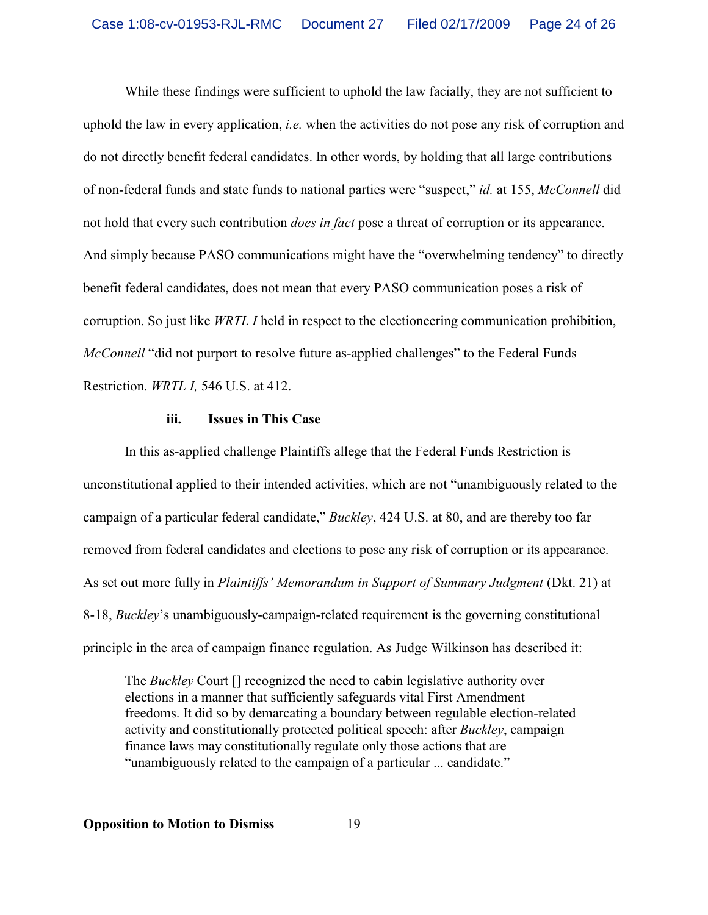While these findings were sufficient to uphold the law facially, they are not sufficient to uphold the law in every application, *i.e.* when the activities do not pose any risk of corruption and do not directly benefit federal candidates. In other words, by holding that all large contributions of non-federal funds and state funds to national parties were "suspect," *id.* at 155, *McConnell* did not hold that every such contribution *does in fact* pose a threat of corruption or its appearance. And simply because PASO communications might have the "overwhelming tendency" to directly benefit federal candidates, does not mean that every PASO communication poses a risk of corruption. So just like *WRTL I* held in respect to the electioneering communication prohibition, *McConnell* "did not purport to resolve future as-applied challenges" to the Federal Funds Restriction. *WRTL I,* 546 U.S. at 412.

## **iii. Issues in This Case**

In this as-applied challenge Plaintiffs allege that the Federal Funds Restriction is unconstitutional applied to their intended activities, which are not "unambiguously related to the campaign of a particular federal candidate," *Buckley*, 424 U.S. at 80, and are thereby too far removed from federal candidates and elections to pose any risk of corruption or its appearance. As set out more fully in *Plaintiffs' Memorandum in Support of Summary Judgment* (Dkt. 21) at 8-18, *Buckley*'s unambiguously-campaign-related requirement is the governing constitutional principle in the area of campaign finance regulation. As Judge Wilkinson has described it:

The *Buckley* Court [] recognized the need to cabin legislative authority over elections in a manner that sufficiently safeguards vital First Amendment freedoms. It did so by demarcating a boundary between regulable election-related activity and constitutionally protected political speech: after *Buckley*, campaign finance laws may constitutionally regulate only those actions that are "unambiguously related to the campaign of a particular ... candidate."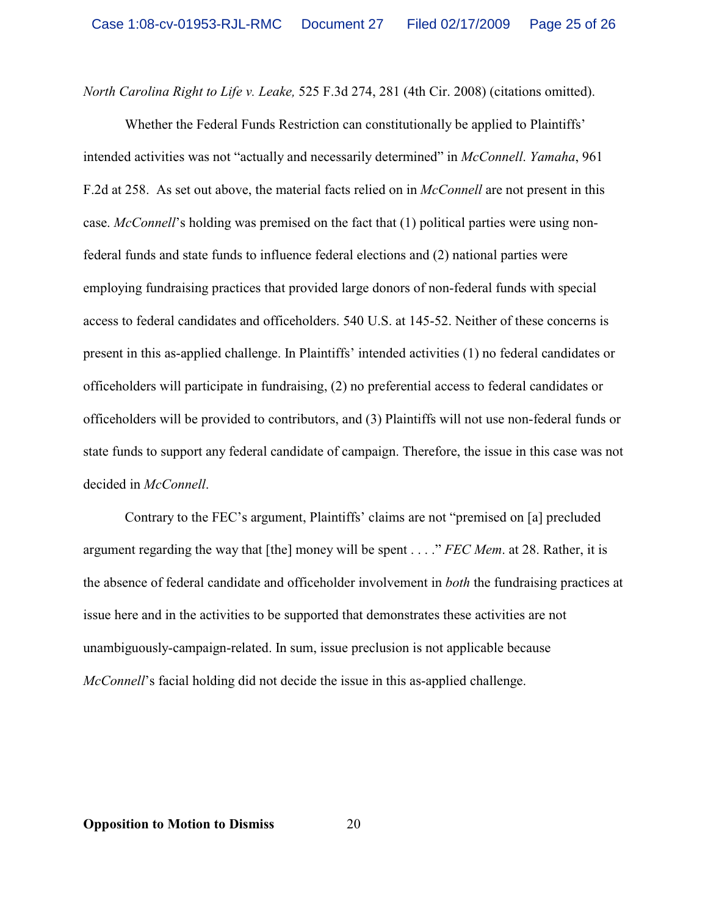*North Carolina Right to Life v. Leake,* 525 F.3d 274, 281 (4th Cir. 2008) (citations omitted).

Whether the Federal Funds Restriction can constitutionally be applied to Plaintiffs' intended activities was not "actually and necessarily determined" in *McConnell*. *Yamaha*, 961 F.2d at 258. As set out above, the material facts relied on in *McConnell* are not present in this case. *McConnell*'s holding was premised on the fact that (1) political parties were using nonfederal funds and state funds to influence federal elections and (2) national parties were employing fundraising practices that provided large donors of non-federal funds with special access to federal candidates and officeholders. 540 U.S. at 145-52. Neither of these concerns is present in this as-applied challenge. In Plaintiffs' intended activities (1) no federal candidates or officeholders will participate in fundraising, (2) no preferential access to federal candidates or officeholders will be provided to contributors, and (3) Plaintiffs will not use non-federal funds or state funds to support any federal candidate of campaign. Therefore, the issue in this case was not decided in *McConnell*.

Contrary to the FEC's argument, Plaintiffs' claims are not "premised on [a] precluded argument regarding the way that [the] money will be spent . . . ." *FEC Mem*. at 28. Rather, it is the absence of federal candidate and officeholder involvement in *both* the fundraising practices at issue here and in the activities to be supported that demonstrates these activities are not unambiguously-campaign-related. In sum, issue preclusion is not applicable because *McConnell*'s facial holding did not decide the issue in this as-applied challenge.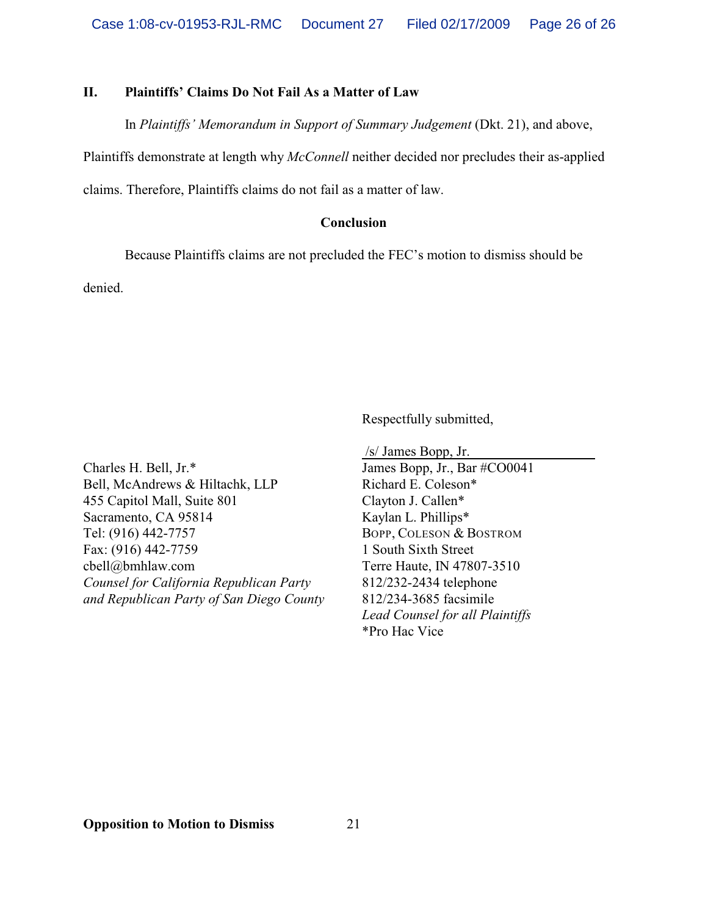### **II. Plaintiffs' Claims Do Not Fail As a Matter of Law**

In *Plaintiffs' Memorandum in Support of Summary Judgement* (Dkt. 21), and above,

Plaintiffs demonstrate at length why *McConnell* neither decided nor precludes their as-applied

claims. Therefore, Plaintiffs claims do not fail as a matter of law.

### **Conclusion**

Because Plaintiffs claims are not precluded the FEC's motion to dismiss should be

denied.

Respectfully submitted,

Charles H. Bell, Jr.\* Bell, McAndrews & Hiltachk, LLP 455 Capitol Mall, Suite 801 Sacramento, CA 95814 Tel: (916) 442-7757 Fax: (916) 442-7759 cbell@bmhlaw.com *Counsel for California Republican Party and Republican Party of San Diego County*

 /s/ James Bopp, Jr. James Bopp, Jr., Bar #CO0041 Richard E. Coleson\* Clayton J. Callen\* Kaylan L. Phillips\* BOPP, COLESON & BOSTROM 1 South Sixth Street Terre Haute, IN 47807-3510 812/232-2434 telephone 812/234-3685 facsimile *Lead Counsel for all Plaintiffs* \*Pro Hac Vice